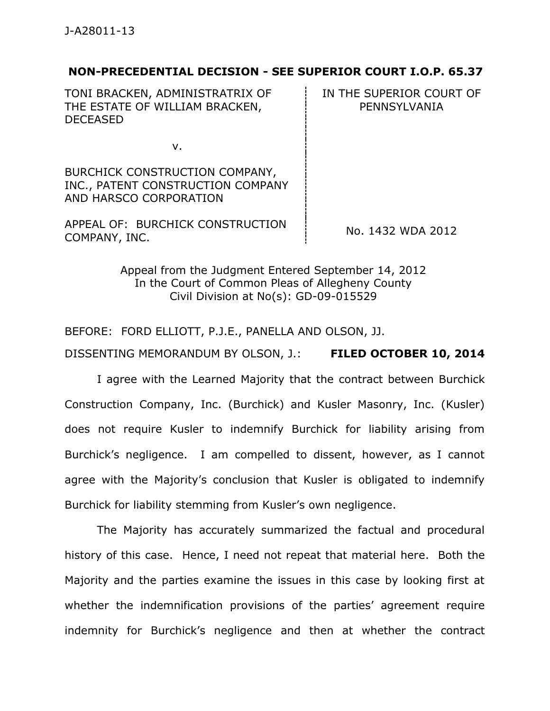## **NON-PRECEDENTIAL DECISION - SEE SUPERIOR COURT I.O.P. 65.37**

TONI BRACKEN, ADMINISTRATRIX OF THE ESTATE OF WILLIAM BRACKEN, DECEASED

IN THE SUPERIOR COURT OF PENNSYLVANIA

v.

BURCHICK CONSTRUCTION COMPANY, INC., PATENT CONSTRUCTION COMPANY AND HARSCO CORPORATION

APPEAL OF: BURCHICK CONSTRUCTION COMPANY, INC. CONSTRUCTION No. 1432 WDA 2012

Appeal from the Judgment Entered September 14, 2012 In the Court of Common Pleas of Allegheny County Civil Division at No(s): GD-09-015529

BEFORE: FORD ELLIOTT, P.J.E., PANELLA AND OLSON, JJ.

DISSENTING MEMORANDUM BY OLSON, J.: **FILED OCTOBER 10, 2014**

I agree with the Learned Majority that the contract between Burchick Construction Company, Inc. (Burchick) and Kusler Masonry, Inc. (Kusler) does not require Kusler to indemnify Burchick for liability arising from Burchick's negligence. I am compelled to dissent, however, as I cannot agree with the Majority's conclusion that Kusler is obligated to indemnify Burchick for liability stemming from Kusler's own negligence.

The Majority has accurately summarized the factual and procedural history of this case. Hence, I need not repeat that material here. Both the Majority and the parties examine the issues in this case by looking first at whether the indemnification provisions of the parties' agreement require indemnity for Burchick's negligence and then at whether the contract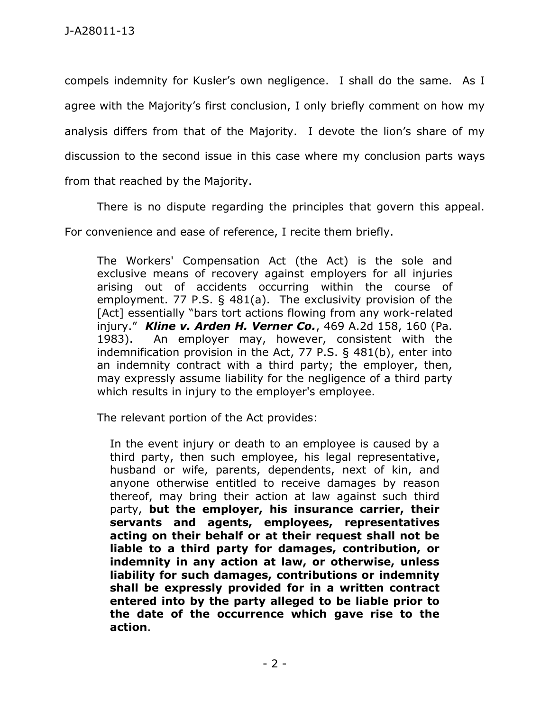compels indemnity for Kusler's own negligence. I shall do the same. As I agree with the Majority's first conclusion, I only briefly comment on how my analysis differs from that of the Majority. I devote the lion's share of my discussion to the second issue in this case where my conclusion parts ways from that reached by the Majority.

There is no dispute regarding the principles that govern this appeal.

For convenience and ease of reference, I recite them briefly.

The Workers' Compensation Act (the Act) is the sole and exclusive means of recovery against employers for all injuries arising out of accidents occurring within the course of employment. 77 P.S. § 481(a). The exclusivity provision of the [Act] essentially "bars tort actions flowing from any work-related injury." *Kline v. Arden H. Verner Co.*, 469 A.2d 158, 160 (Pa. 1983). An employer may, however, consistent with the indemnification provision in the Act, 77 P.S. § 481(b), enter into an indemnity contract with a third party; the employer, then, may expressly assume liability for the negligence of a third party which results in injury to the employer's employee.

The relevant portion of the Act provides:

In the event injury or death to an employee is caused by a third party, then such employee, his legal representative, husband or wife, parents, dependents, next of kin, and anyone otherwise entitled to receive damages by reason thereof, may bring their action at law against such third party, **but the employer, his insurance carrier, their servants and agents, employees, representatives acting on their behalf or at their request shall not be liable to a third party for damages, contribution, or indemnity in any action at law, or otherwise, unless liability for such damages, contributions or indemnity shall be expressly provided for in a written contract entered into by the party alleged to be liable prior to the date of the occurrence which gave rise to the action**.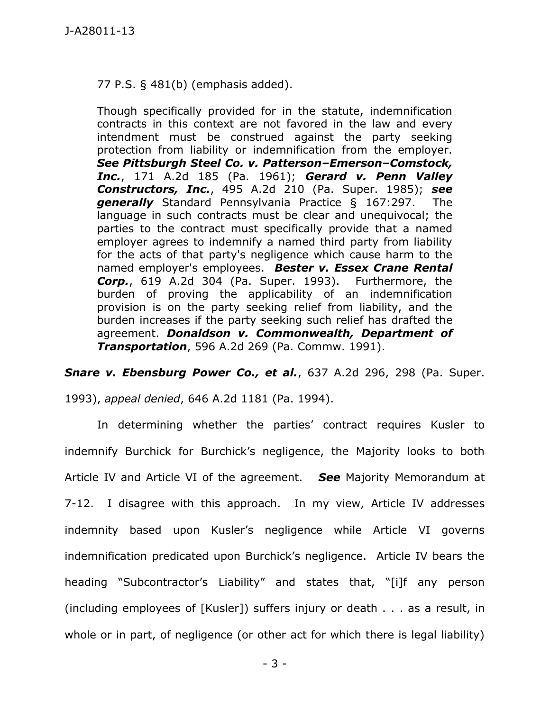77 P.S. § 481(b) (emphasis added).

Though specifically provided for in the statute, indemnification contracts in this context are not favored in the law and every intendment must be construed against the party seeking protection from liability or indemnification from the employer. *See Pittsburgh Steel Co. v. Patterson–Emerson–Comstock, Inc.*, 171 A.2d 185 (Pa. 1961); *Gerard v. Penn Valley Constructors, Inc.*, 495 A.2d 210 (Pa. Super. 1985); *see generally* Standard Pennsylvania Practice § 167:297. The language in such contracts must be clear and unequivocal; the parties to the contract must specifically provide that a named employer agrees to indemnify a named third party from liability for the acts of that party's negligence which cause harm to the named employer's employees. *Bester v. Essex Crane Rental Corp.*, 619 A.2d 304 (Pa. Super. 1993). Furthermore, the burden of proving the applicability of an indemnification provision is on the party seeking relief from liability, and the burden increases if the party seeking such relief has drafted the agreement. *Donaldson v. Commonwealth, Department of Transportation*, 596 A.2d 269 (Pa. Commw. 1991).

*Snare v. Ebensburg Power Co., et al.*, 637 A.2d 296, 298 (Pa. Super.

1993), *appeal denied*, 646 A.2d 1181 (Pa. 1994).

In determining whether the parties' contract requires Kusler to indemnify Burchick for Burchick's negligence, the Majority looks to both Article IV and Article VI of the agreement. *See* Majority Memorandum at 7-12. I disagree with this approach. In my view, Article IV addresses indemnity based upon Kusler's negligence while Article VI governs indemnification predicated upon Burchick's negligence. Article IV bears the heading "Subcontractor's Liability" and states that, "[i]f any person (including employees of [Kusler]) suffers injury or death . . . as a result, in whole or in part, of negligence (or other act for which there is legal liability)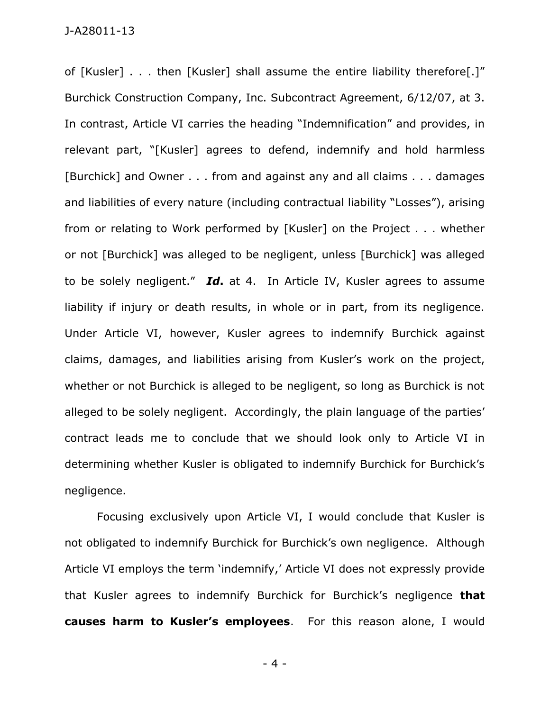of [Kusler] . . . then [Kusler] shall assume the entire liability therefore[.]" Burchick Construction Company, Inc. Subcontract Agreement, 6/12/07, at 3. In contrast, Article VI carries the heading "Indemnification" and provides, in relevant part, "[Kusler] agrees to defend, indemnify and hold harmless [Burchick] and Owner . . . from and against any and all claims . . . damages and liabilities of every nature (including contractual liability "Losses"), arising from or relating to Work performed by [Kusler] on the Project . . . whether or not [Burchick] was alleged to be negligent, unless [Burchick] was alleged to be solely negligent." *Id***.** at 4. In Article IV, Kusler agrees to assume liability if injury or death results, in whole or in part, from its negligence. Under Article VI, however, Kusler agrees to indemnify Burchick against claims, damages, and liabilities arising from Kusler's work on the project, whether or not Burchick is alleged to be negligent, so long as Burchick is not alleged to be solely negligent. Accordingly, the plain language of the parties' contract leads me to conclude that we should look only to Article VI in determining whether Kusler is obligated to indemnify Burchick for Burchick's negligence.

Focusing exclusively upon Article VI, I would conclude that Kusler is not obligated to indemnify Burchick for Burchick's own negligence. Although Article VI employs the term 'indemnify,' Article VI does not expressly provide that Kusler agrees to indemnify Burchick for Burchick's negligence **that causes harm to Kusler's employees**. For this reason alone, I would

- 4 -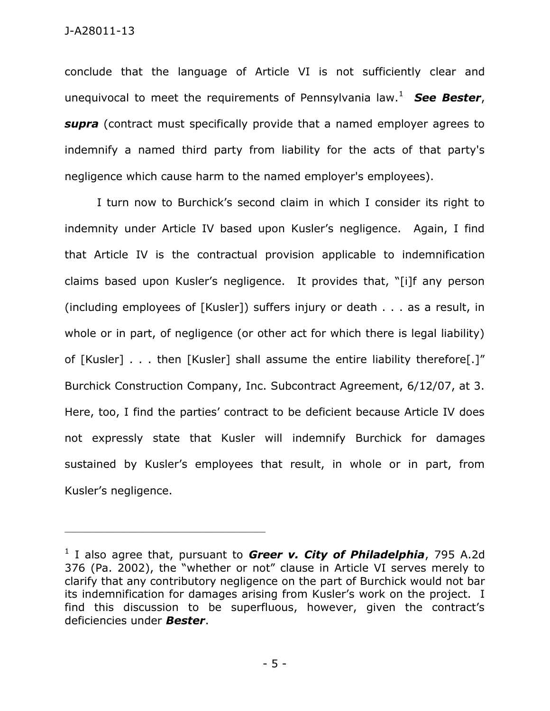conclude that the language of Article VI is not sufficiently clear and unequivocal to meet the requirements of Pennsylvania law.<sup>1</sup> *See Bester*, *supra* (contract must specifically provide that a named employer agrees to indemnify a named third party from liability for the acts of that party's negligence which cause harm to the named employer's employees).

I turn now to Burchick's second claim in which I consider its right to indemnity under Article IV based upon Kusler's negligence. Again, I find that Article IV is the contractual provision applicable to indemnification claims based upon Kusler's negligence. It provides that, "[i]f any person (including employees of [Kusler]) suffers injury or death . . . as a result, in whole or in part, of negligence (or other act for which there is legal liability) of [Kusler] . . . then [Kusler] shall assume the entire liability therefore[.]" Burchick Construction Company, Inc. Subcontract Agreement, 6/12/07, at 3. Here, too, I find the parties' contract to be deficient because Article IV does not expressly state that Kusler will indemnify Burchick for damages sustained by Kusler's employees that result, in whole or in part, from Kusler's negligence.

\_\_\_\_\_\_\_\_\_\_\_\_\_\_\_\_\_\_\_\_\_\_\_\_\_\_\_\_\_\_\_\_\_\_\_\_\_\_\_\_\_\_\_\_

<sup>&</sup>lt;sup>1</sup> I also agree that, pursuant to *Greer v. City of Philadelphia*, 795 A.2d 376 (Pa. 2002), the "whether or not" clause in Article VI serves merely to clarify that any contributory negligence on the part of Burchick would not bar its indemnification for damages arising from Kusler's work on the project. I find this discussion to be superfluous, however, given the contract's deficiencies under *Bester*.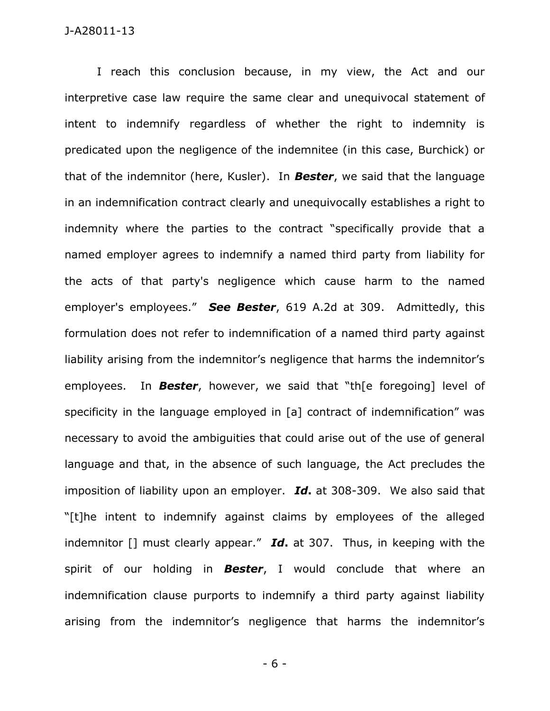## J-A28011-13

I reach this conclusion because, in my view, the Act and our interpretive case law require the same clear and unequivocal statement of intent to indemnify regardless of whether the right to indemnity is predicated upon the negligence of the indemnitee (in this case, Burchick) or that of the indemnitor (here, Kusler). In *Bester*, we said that the language in an indemnification contract clearly and unequivocally establishes a right to indemnity where the parties to the contract "specifically provide that a named employer agrees to indemnify a named third party from liability for the acts of that party's negligence which cause harm to the named employer's employees." *See Bester*, 619 A.2d at 309. Admittedly, this formulation does not refer to indemnification of a named third party against liability arising from the indemnitor's negligence that harms the indemnitor's employees. In *Bester*, however, we said that "th[e foregoing] level of specificity in the language employed in [a] contract of indemnification" was necessary to avoid the ambiguities that could arise out of the use of general language and that, in the absence of such language, the Act precludes the imposition of liability upon an employer. *Id***.** at 308-309. We also said that "[t]he intent to indemnify against claims by employees of the alleged indemnitor [] must clearly appear." *Id***.** at 307. Thus, in keeping with the spirit of our holding in *Bester*, I would conclude that where an indemnification clause purports to indemnify a third party against liability arising from the indemnitor's negligence that harms the indemnitor's

- 6 -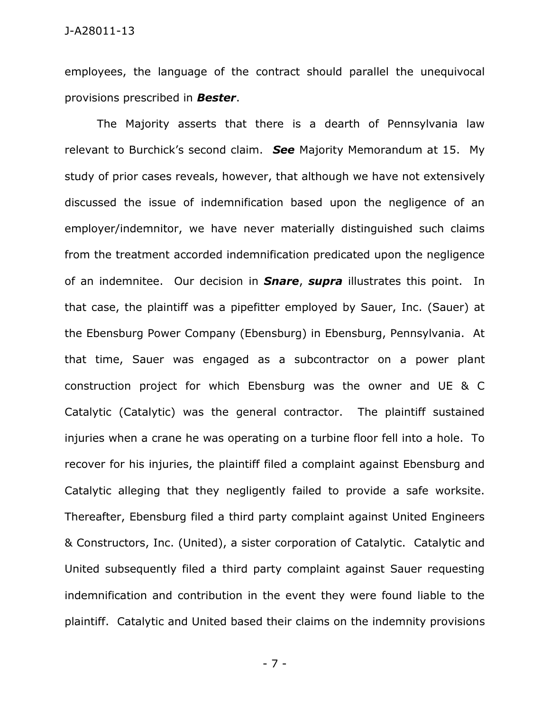employees, the language of the contract should parallel the unequivocal provisions prescribed in *Bester*.

The Majority asserts that there is a dearth of Pennsylvania law relevant to Burchick's second claim. *See* Majority Memorandum at 15. My study of prior cases reveals, however, that although we have not extensively discussed the issue of indemnification based upon the negligence of an employer/indemnitor, we have never materially distinguished such claims from the treatment accorded indemnification predicated upon the negligence of an indemnitee. Our decision in *Snare*, *supra* illustrates this point. In that case, the plaintiff was a pipefitter employed by Sauer, Inc. (Sauer) at the Ebensburg Power Company (Ebensburg) in Ebensburg, Pennsylvania. At that time, Sauer was engaged as a subcontractor on a power plant construction project for which Ebensburg was the owner and UE & C Catalytic (Catalytic) was the general contractor. The plaintiff sustained injuries when a crane he was operating on a turbine floor fell into a hole. To recover for his injuries, the plaintiff filed a complaint against Ebensburg and Catalytic alleging that they negligently failed to provide a safe worksite. Thereafter, Ebensburg filed a third party complaint against United Engineers & Constructors, Inc. (United), a sister corporation of Catalytic. Catalytic and United subsequently filed a third party complaint against Sauer requesting indemnification and contribution in the event they were found liable to the plaintiff. Catalytic and United based their claims on the indemnity provisions

- 7 -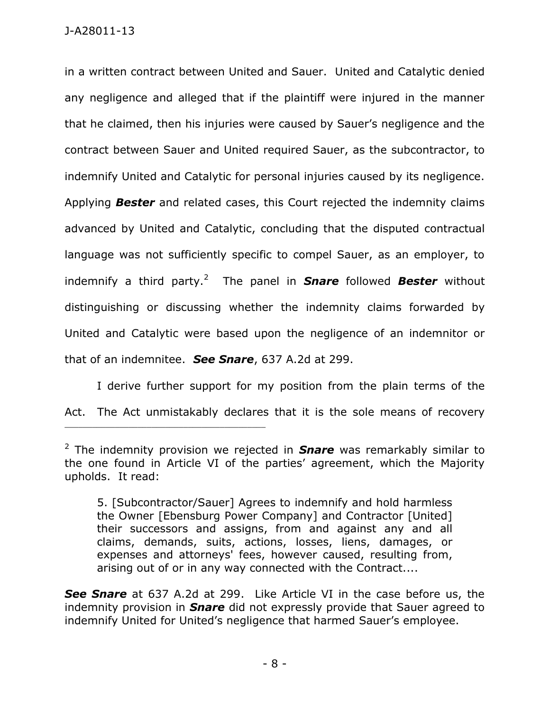in a written contract between United and Sauer. United and Catalytic denied any negligence and alleged that if the plaintiff were injured in the manner that he claimed, then his injuries were caused by Sauer's negligence and the contract between Sauer and United required Sauer, as the subcontractor, to indemnify United and Catalytic for personal injuries caused by its negligence. Applying *Bester* and related cases, this Court rejected the indemnity claims advanced by United and Catalytic, concluding that the disputed contractual language was not sufficiently specific to compel Sauer, as an employer, to indemnify a third party.<sup>2</sup> The panel in **Snare** followed **Bester** without distinguishing or discussing whether the indemnity claims forwarded by United and Catalytic were based upon the negligence of an indemnitor or that of an indemnitee. *See Snare*, 637 A.2d at 299.

I derive further support for my position from the plain terms of the Act. The Act unmistakably declares that it is the sole means of recovery

\_\_\_\_\_\_\_\_\_\_\_\_\_\_\_\_\_\_\_\_\_\_\_\_\_\_\_\_\_\_\_\_\_\_\_\_\_\_\_\_\_\_\_\_

5. [Subcontractor/Sauer] Agrees to indemnify and hold harmless the Owner [Ebensburg Power Company] and Contractor [United] their successors and assigns, from and against any and all claims, demands, suits, actions, losses, liens, damages, or expenses and attorneys' fees, however caused, resulting from, arising out of or in any way connected with the Contract....

*See Snare* at 637 A.2d at 299. Like Article VI in the case before us, the indemnity provision in *Snare* did not expressly provide that Sauer agreed to indemnify United for United's negligence that harmed Sauer's employee.

<sup>2</sup> The indemnity provision we rejected in *Snare* was remarkably similar to the one found in Article VI of the parties' agreement, which the Majority upholds. It read: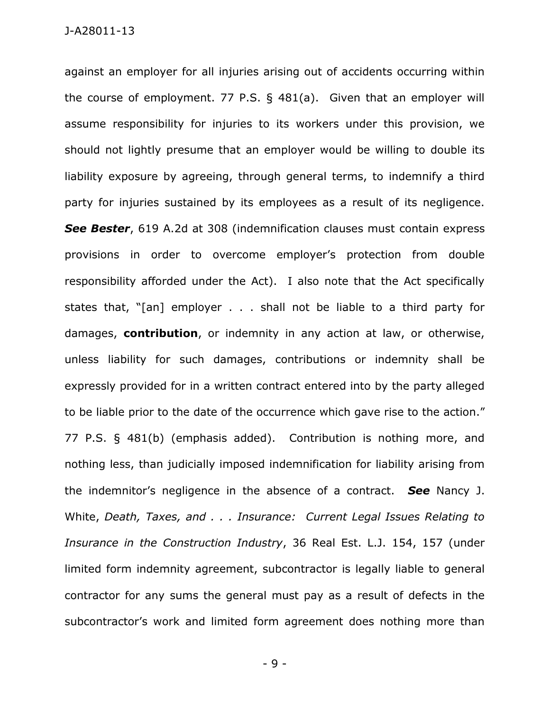against an employer for all injuries arising out of accidents occurring within the course of employment. 77 P.S. § 481(a). Given that an employer will assume responsibility for injuries to its workers under this provision, we should not lightly presume that an employer would be willing to double its liability exposure by agreeing, through general terms, to indemnify a third party for injuries sustained by its employees as a result of its negligence. *See Bester*, 619 A.2d at 308 (indemnification clauses must contain express provisions in order to overcome employer's protection from double responsibility afforded under the Act). I also note that the Act specifically states that, "[an] employer . . . shall not be liable to a third party for damages, **contribution**, or indemnity in any action at law, or otherwise, unless liability for such damages, contributions or indemnity shall be expressly provided for in a written contract entered into by the party alleged to be liable prior to the date of the occurrence which gave rise to the action." 77 P.S. § 481(b) (emphasis added). Contribution is nothing more, and nothing less, than judicially imposed indemnification for liability arising from the indemnitor's negligence in the absence of a contract. *See* Nancy J. White, *Death, Taxes, and . . . Insurance: Current Legal Issues Relating to Insurance in the Construction Industry*, 36 Real Est. L.J. 154, 157 (under limited form indemnity agreement, subcontractor is legally liable to general contractor for any sums the general must pay as a result of defects in the subcontractor's work and limited form agreement does nothing more than

- 9 -